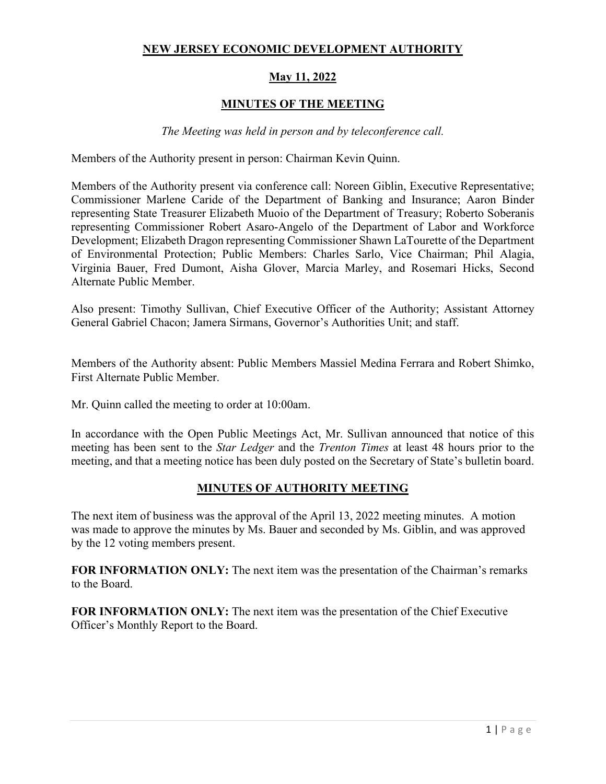#### **NEW JERSEY ECONOMIC DEVELOPMENT AUTHORITY**

# **May 11, 2022**

# **MINUTES OF THE MEETING**

#### *The Meeting was held in person and by teleconference call.*

Members of the Authority present in person: Chairman Kevin Quinn.

Members of the Authority present via conference call: Noreen Giblin, Executive Representative; Commissioner Marlene Caride of the Department of Banking and Insurance; Aaron Binder representing State Treasurer Elizabeth Muoio of the Department of Treasury; Roberto Soberanis representing Commissioner Robert Asaro-Angelo of the Department of Labor and Workforce Development; Elizabeth Dragon representing Commissioner Shawn LaTourette of the Department of Environmental Protection; Public Members: Charles Sarlo, Vice Chairman; Phil Alagia, Virginia Bauer, Fred Dumont, Aisha Glover, Marcia Marley, and Rosemari Hicks, Second Alternate Public Member.

Also present: Timothy Sullivan, Chief Executive Officer of the Authority; Assistant Attorney General Gabriel Chacon; Jamera Sirmans, Governor's Authorities Unit; and staff.

Members of the Authority absent: Public Members Massiel Medina Ferrara and Robert Shimko, First Alternate Public Member.

Mr. Quinn called the meeting to order at 10:00am.

In accordance with the Open Public Meetings Act, Mr. Sullivan announced that notice of this meeting has been sent to the *Star Ledger* and the *Trenton Times* at least 48 hours prior to the meeting, and that a meeting notice has been duly posted on the Secretary of State's bulletin board.

#### **MINUTES OF AUTHORITY MEETING**

The next item of business was the approval of the April 13, 2022 meeting minutes. A motion was made to approve the minutes by Ms. Bauer and seconded by Ms. Giblin, and was approved by the 12 voting members present.

**FOR INFORMATION ONLY:** The next item was the presentation of the Chairman's remarks to the Board.

**FOR INFORMATION ONLY:** The next item was the presentation of the Chief Executive Officer's Monthly Report to the Board.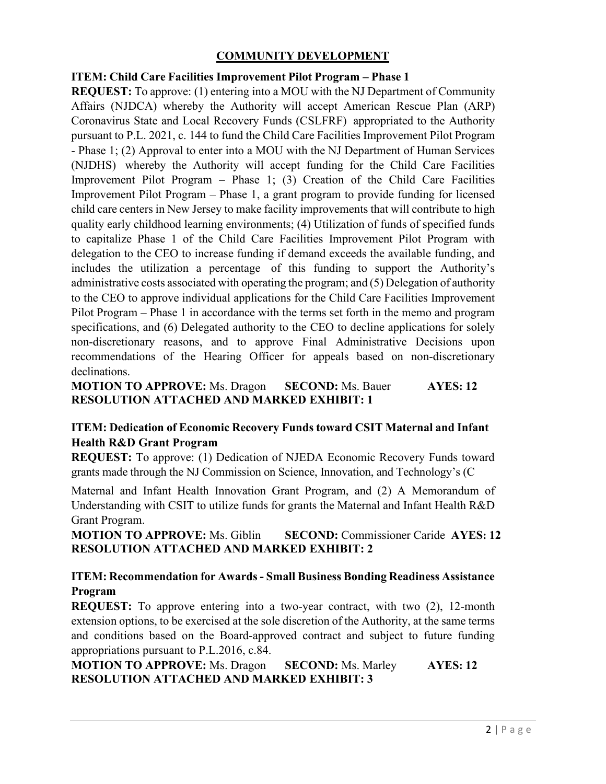# **COMMUNITY DEVELOPMENT**

#### **ITEM: Child Care Facilities Improvement Pilot Program – Phase 1**

**REQUEST:** To approve: (1) entering into a MOU with the NJ Department of Community Affairs (NJDCA) whereby the Authority will accept American Rescue Plan (ARP) Coronavirus State and Local Recovery Funds (CSLFRF) appropriated to the Authority pursuant to P.L. 2021, c. 144 to fund the Child Care Facilities Improvement Pilot Program - Phase 1; (2) Approval to enter into a MOU with the NJ Department of Human Services (NJDHS) whereby the Authority will accept funding for the Child Care Facilities Improvement Pilot Program – Phase 1; (3) Creation of the Child Care Facilities Improvement Pilot Program – Phase 1, a grant program to provide funding for licensed child care centers in New Jersey to make facility improvements that will contribute to high quality early childhood learning environments; (4) Utilization of funds of specified funds to capitalize Phase 1 of the Child Care Facilities Improvement Pilot Program with delegation to the CEO to increase funding if demand exceeds the available funding, and includes the utilization a percentage of this funding to support the Authority's administrative costs associated with operating the program; and (5) Delegation of authority to the CEO to approve individual applications for the Child Care Facilities Improvement Pilot Program – Phase 1 in accordance with the terms set forth in the memo and program specifications, and (6) Delegated authority to the CEO to decline applications for solely non-discretionary reasons, and to approve Final Administrative Decisions upon recommendations of the Hearing Officer for appeals based on non-discretionary declinations.

**MOTION TO APPROVE:** Ms. Dragon **SECOND:** Ms. Bauer **AYES: 12 RESOLUTION ATTACHED AND MARKED EXHIBIT: 1** 

# **ITEM: Dedication of Economic Recovery Funds toward CSIT Maternal and Infant Health R&D Grant Program**

**REQUEST:** To approve: (1) Dedication of NJEDA Economic Recovery Funds toward grants made through the NJ Commission on Science, Innovation, and Technology's (C

Maternal and Infant Health Innovation Grant Program, and (2) A Memorandum of Understanding with CSIT to utilize funds for grants the Maternal and Infant Health R&D Grant Program.

**MOTION TO APPROVE:** Ms. Giblin **SECOND:** Commissioner Caride **AYES: 12 RESOLUTION ATTACHED AND MARKED EXHIBIT: 2** 

#### **ITEM: Recommendation for Awards - Small Business Bonding Readiness Assistance Program**

**REQUEST:** To approve entering into a two-year contract, with two (2), 12-month extension options, to be exercised at the sole discretion of the Authority, at the same terms and conditions based on the Board-approved contract and subject to future funding appropriations pursuant to P.L.2016, c.84.

**MOTION TO APPROVE:** Ms. Dragon **SECOND:** Ms. Marley **AYES: 12 RESOLUTION ATTACHED AND MARKED EXHIBIT: 3**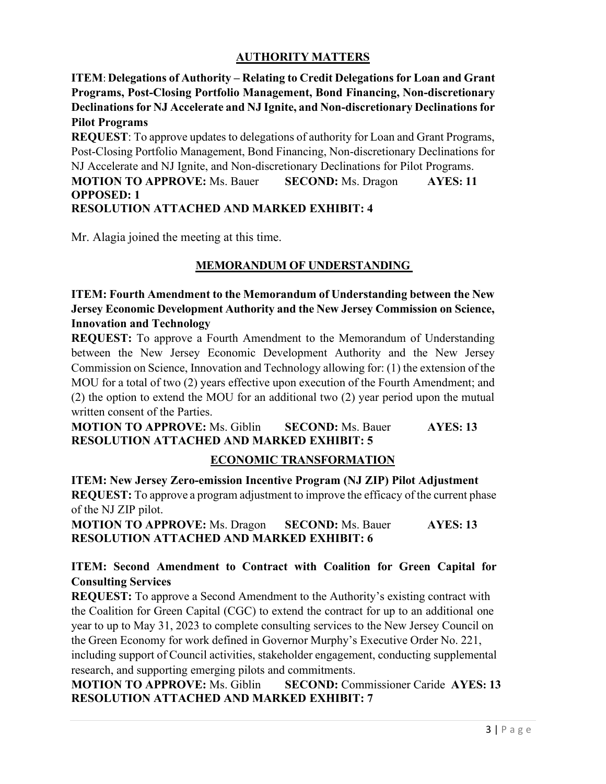# **AUTHORITY MATTERS**

**ITEM**: **Delegations of Authority – Relating to Credit Delegations for Loan and Grant Programs, Post-Closing Portfolio Management, Bond Financing, Non-discretionary Declinationsfor NJ Accelerate and NJ Ignite, and Non-discretionary Declinationsfor Pilot Programs** 

**REQUEST**: To approve updates to delegations of authority for Loan and Grant Programs, Post-Closing Portfolio Management, Bond Financing, Non-discretionary Declinations for NJ Accelerate and NJ Ignite, and Non-discretionary Declinations for Pilot Programs. **MOTION TO APPROVE:** Ms. Bauer **SECOND:** Ms. Dragon **AYES: 11 OPPOSED: 1 RESOLUTION ATTACHED AND MARKED EXHIBIT: 4** 

Mr. Alagia joined the meeting at this time.

# **MEMORANDUM OF UNDERSTANDING**

**ITEM: Fourth Amendment to the Memorandum of Understanding between the New Jersey Economic Development Authority and the New Jersey Commission on Science, Innovation and Technology** 

**REQUEST:** To approve a Fourth Amendment to the Memorandum of Understanding between the New Jersey Economic Development Authority and the New Jersey Commission on Science, Innovation and Technology allowing for: (1) the extension of the MOU for a total of two (2) years effective upon execution of the Fourth Amendment; and (2) the option to extend the MOU for an additional two (2) year period upon the mutual written consent of the Parties.

**MOTION TO APPROVE:** Ms. Giblin **SECOND:** Ms. Bauer **AYES: 13 RESOLUTION ATTACHED AND MARKED EXHIBIT: 5** 

#### **ECONOMIC TRANSFORMATION**

**ITEM: New Jersey Zero-emission Incentive Program (NJ ZIP) Pilot Adjustment REQUEST:** To approve a program adjustment to improve the efficacy of the current phase of the NJ ZIP pilot.

**MOTION TO APPROVE:** Ms. Dragon **SECOND:** Ms. Bauer **AYES: 13 RESOLUTION ATTACHED AND MARKED EXHIBIT: 6** 

# **ITEM: Second Amendment to Contract with Coalition for Green Capital for Consulting Services**

**REQUEST:** To approve a Second Amendment to the Authority's existing contract with the Coalition for Green Capital (CGC) to extend the contract for up to an additional one year to up to May 31, 2023 to complete consulting services to the New Jersey Council on the Green Economy for work defined in Governor Murphy's Executive Order No. 221, including support of Council activities, stakeholder engagement, conducting supplemental research, and supporting emerging pilots and commitments.

**MOTION TO APPROVE:** Ms. Giblin **SECOND:** Commissioner Caride **AYES: 13 RESOLUTION ATTACHED AND MARKED EXHIBIT: 7**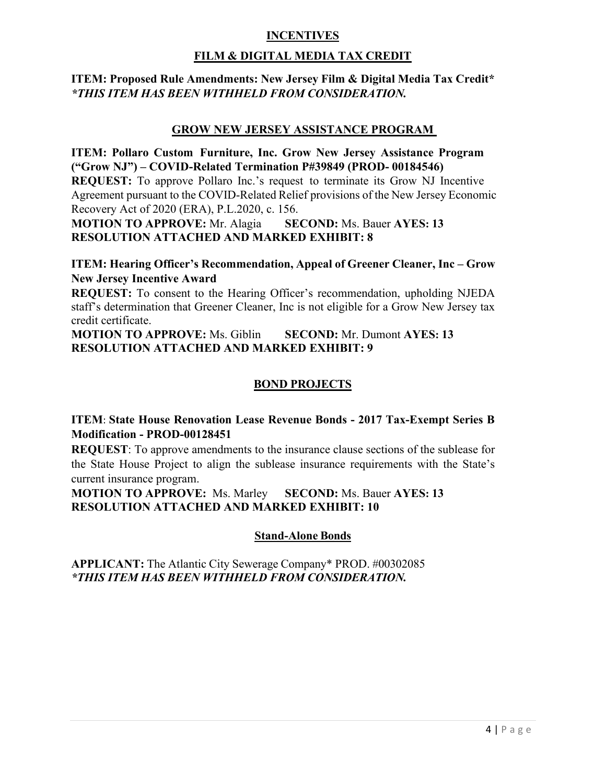## **INCENTIVES**

# **FILM & DIGITAL MEDIA TAX CREDIT**

### **ITEM: Proposed Rule Amendments: New Jersey Film & Digital Media Tax Credit\***  *\*THIS ITEM HAS BEEN WITHHELD FROM CONSIDERATION.*

#### **GROW NEW JERSEY ASSISTANCE PROGRAM**

**ITEM: Pollaro Custom Furniture, Inc. Grow New Jersey Assistance Program ("Grow NJ") – COVID-Related Termination P#39849 (PROD- 00184546)** 

**REQUEST:** To approve Pollaro Inc.'s request to terminate its Grow NJ Incentive Agreement pursuant to the COVID-Related Relief provisions of the New Jersey Economic Recovery Act of 2020 (ERA), P.L.2020, c. 156.

**MOTION TO APPROVE:** Mr. Alagia **SECOND:** Ms. Bauer **AYES: 13 RESOLUTION ATTACHED AND MARKED EXHIBIT: 8** 

**ITEM: Hearing Officer's Recommendation, Appeal of Greener Cleaner, Inc – Grow New Jersey Incentive Award**

**REQUEST:** To consent to the Hearing Officer's recommendation, upholding NJEDA staff's determination that Greener Cleaner, Inc is not eligible for a Grow New Jersey tax credit certificate.

**MOTION TO APPROVE:** Ms. Giblin **SECOND:** Mr. Dumont **AYES: 13 RESOLUTION ATTACHED AND MARKED EXHIBIT: 9** 

#### **BOND PROJECTS**

**ITEM**: **State House Renovation Lease Revenue Bonds - 2017 Tax-Exempt Series B Modification - PROD-00128451** 

**REQUEST**: To approve amendments to the insurance clause sections of the sublease for the State House Project to align the sublease insurance requirements with the State's current insurance program.

**MOTION TO APPROVE:** Ms. Marley **SECOND:** Ms. Bauer **AYES: 13 RESOLUTION ATTACHED AND MARKED EXHIBIT: 10** 

#### **Stand-Alone Bonds**

**APPLICANT:** The Atlantic City Sewerage Company\* PROD. #00302085 *\*THIS ITEM HAS BEEN WITHHELD FROM CONSIDERATION.*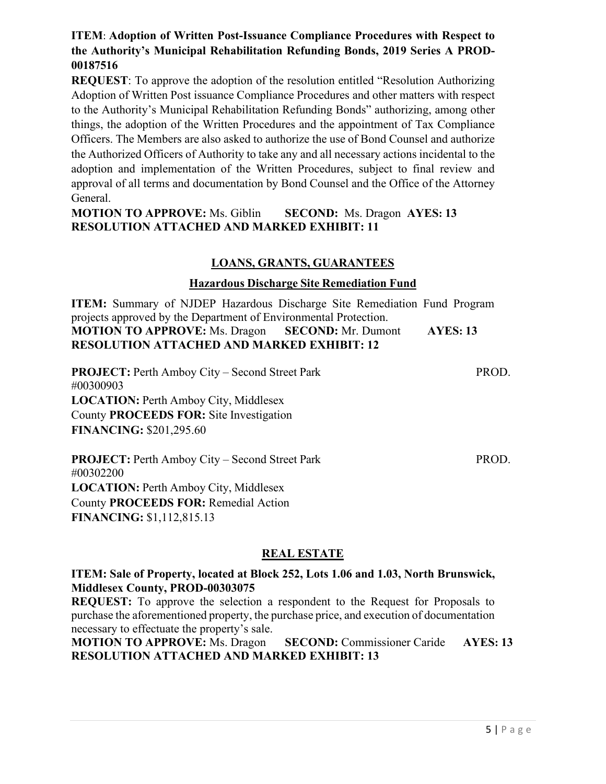# **ITEM**: **Adoption of Written Post-Issuance Compliance Procedures with Respect to the Authority's Municipal Rehabilitation Refunding Bonds, 2019 Series A PROD-00187516**

**REQUEST:** To approve the adoption of the resolution entitled "Resolution Authorizing" Adoption of Written Post issuance Compliance Procedures and other matters with respect to the Authority's Municipal Rehabilitation Refunding Bonds" authorizing, among other things, the adoption of the Written Procedures and the appointment of Tax Compliance Officers. The Members are also asked to authorize the use of Bond Counsel and authorize the Authorized Officers of Authority to take any and all necessary actions incidental to the adoption and implementation of the Written Procedures, subject to final review and approval of all terms and documentation by Bond Counsel and the Office of the Attorney General.

## **MOTION TO APPROVE:** Ms. Giblin **SECOND:** Ms. Dragon **AYES: 13 RESOLUTION ATTACHED AND MARKED EXHIBIT: 11**

#### **LOANS, GRANTS, GUARANTEES**

#### **Hazardous Discharge Site Remediation Fund**

**ITEM:** Summary of NJDEP Hazardous Discharge Site Remediation Fund Program projects approved by the Department of Environmental Protection. **MOTION TO APPROVE:** Ms. Dragon **SECOND:** Mr. Dumont **AYES: 13 RESOLUTION ATTACHED AND MARKED EXHIBIT: 12** 

**PROJECT:** Perth Amboy City – Second Street Park PROD. #00300903 **LOCATION:** Perth Amboy City, Middlesex County **PROCEEDS FOR:** Site Investigation **FINANCING:** \$201,295.60

**PROJECT:** Perth Amboy City – Second Street Park PROD. #00302200 **LOCATION:** Perth Amboy City, Middlesex County **PROCEEDS FOR:** Remedial Action **FINANCING:** \$1,112,815.13

# **REAL ESTATE**

#### **ITEM: Sale of Property, located at Block 252, Lots 1.06 and 1.03, North Brunswick, Middlesex County, PROD-00303075**

**REQUEST:** To approve the selection a respondent to the Request for Proposals to purchase the aforementioned property, the purchase price, and execution of documentation necessary to effectuate the property's sale.

**MOTION TO APPROVE:** Ms. Dragon **SECOND:** Commissioner Caride **AYES: 13 RESOLUTION ATTACHED AND MARKED EXHIBIT: 13**